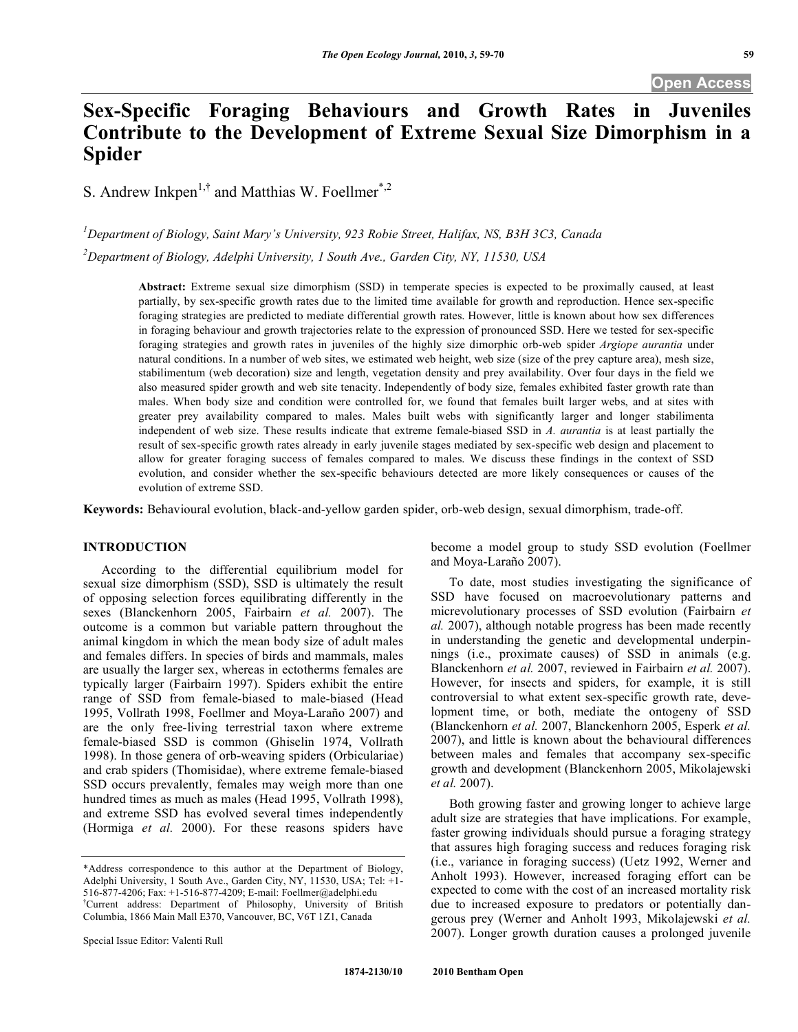# **Sex-Specific Foraging Behaviours and Growth Rates in Juveniles Contribute to the Development of Extreme Sexual Size Dimorphism in a Spider**

S. Andrew Inkpen<sup>1,†</sup> and Matthias W. Foellmer<sup>\*,2</sup>

*1 Department of Biology, Saint Mary's University, 923 Robie Street, Halifax, NS, B3H 3C3, Canada 2 Department of Biology, Adelphi University, 1 South Ave., Garden City, NY, 11530, USA*

> **Abstract:** Extreme sexual size dimorphism (SSD) in temperate species is expected to be proximally caused, at least partially, by sex-specific growth rates due to the limited time available for growth and reproduction. Hence sex-specific foraging strategies are predicted to mediate differential growth rates. However, little is known about how sex differences in foraging behaviour and growth trajectories relate to the expression of pronounced SSD. Here we tested for sex-specific foraging strategies and growth rates in juveniles of the highly size dimorphic orb-web spider *Argiope aurantia* under natural conditions. In a number of web sites, we estimated web height, web size (size of the prey capture area), mesh size, stabilimentum (web decoration) size and length, vegetation density and prey availability. Over four days in the field we also measured spider growth and web site tenacity. Independently of body size, females exhibited faster growth rate than males. When body size and condition were controlled for, we found that females built larger webs, and at sites with greater prey availability compared to males. Males built webs with significantly larger and longer stabilimenta independent of web size. These results indicate that extreme female-biased SSD in *A. aurantia* is at least partially the result of sex-specific growth rates already in early juvenile stages mediated by sex-specific web design and placement to allow for greater foraging success of females compared to males. We discuss these findings in the context of SSD evolution, and consider whether the sex-specific behaviours detected are more likely consequences or causes of the evolution of extreme SSD.

**Keywords:** Behavioural evolution, black-and-yellow garden spider, orb-web design, sexual dimorphism, trade-off.

# **INTRODUCTION**

According to the differential equilibrium model for sexual size dimorphism (SSD), SSD is ultimately the result of opposing selection forces equilibrating differently in the sexes (Blanckenhorn 2005, Fairbairn *et al.* 2007). The outcome is a common but variable pattern throughout the animal kingdom in which the mean body size of adult males and females differs. In species of birds and mammals, males are usually the larger sex, whereas in ectotherms females are typically larger (Fairbairn 1997). Spiders exhibit the entire range of SSD from female-biased to male-biased (Head 1995, Vollrath 1998, Foellmer and Moya-Laraño 2007) and are the only free-living terrestrial taxon where extreme female-biased SSD is common (Ghiselin 1974, Vollrath 1998). In those genera of orb-weaving spiders (Orbiculariae) and crab spiders (Thomisidae), where extreme female-biased SSD occurs prevalently, females may weigh more than one hundred times as much as males (Head 1995, Vollrath 1998), and extreme SSD has evolved several times independently (Hormiga *et al.* 2000). For these reasons spiders have

become a model group to study SSD evolution (Foellmer and Moya-Laraño 2007).

To date, most studies investigating the significance of SSD have focused on macroevolutionary patterns and micrevolutionary processes of SSD evolution (Fairbairn *et al.* 2007), although notable progress has been made recently in understanding the genetic and developmental underpinnings (i.e., proximate causes) of SSD in animals (e.g. Blanckenhorn *et al.* 2007, reviewed in Fairbairn *et al.* 2007). However, for insects and spiders, for example, it is still controversial to what extent sex-specific growth rate, development time, or both, mediate the ontogeny of SSD (Blanckenhorn *et al.* 2007, Blanckenhorn 2005, Esperk *et al.* 2007), and little is known about the behavioural differences between males and females that accompany sex-specific growth and development (Blanckenhorn 2005, Mikolajewski *et al.* 2007).

Both growing faster and growing longer to achieve large adult size are strategies that have implications. For example, faster growing individuals should pursue a foraging strategy that assures high foraging success and reduces foraging risk (i.e., variance in foraging success) (Uetz 1992, Werner and Anholt 1993). However, increased foraging effort can be expected to come with the cost of an increased mortality risk due to increased exposure to predators or potentially dangerous prey (Werner and Anholt 1993, Mikolajewski *et al.* 2007). Longer growth duration causes a prolonged juvenile

<sup>\*</sup>Address correspondence to this author at the Department of Biology, Adelphi University, 1 South Ave., Garden City, NY, 11530, USA; Tel: +1- 516-877-4206; Fax: +1-516-877-4209; E-mail: Foellmer@adelphi.edu † Current address: Department of Philosophy, University of British Columbia, 1866 Main Mall E370, Vancouver, BC, V6T 1Z1, Canada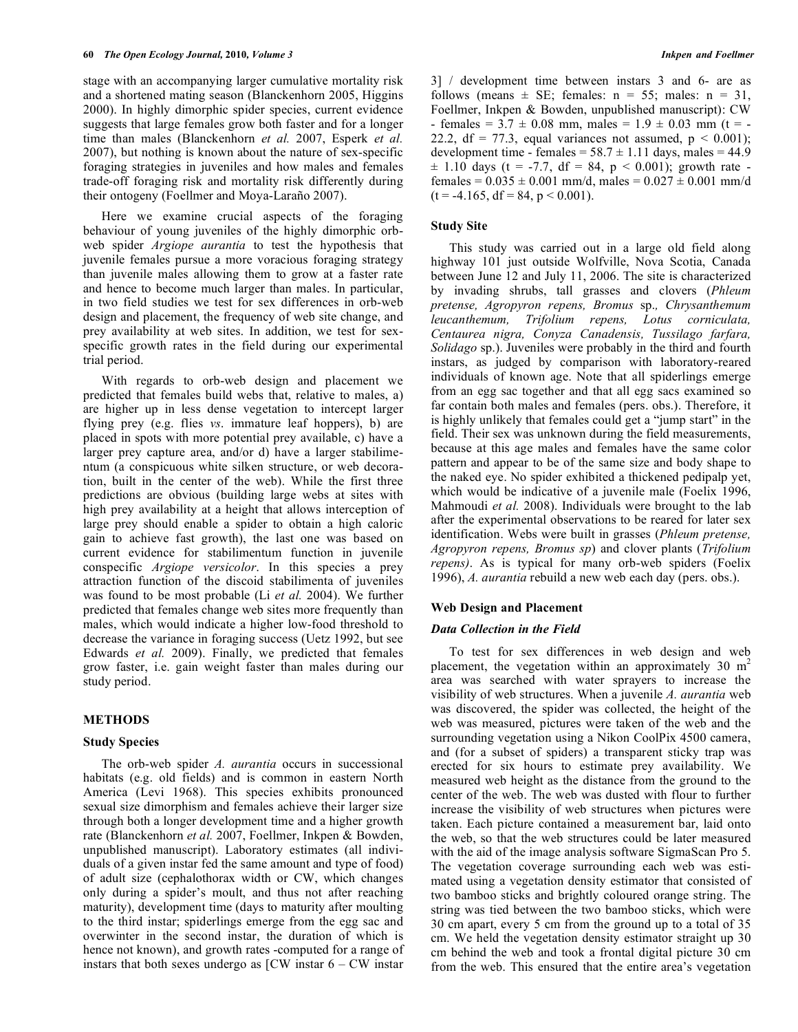stage with an accompanying larger cumulative mortality risk and a shortened mating season (Blanckenhorn 2005, Higgins 2000). In highly dimorphic spider species, current evidence suggests that large females grow both faster and for a longer time than males (Blanckenhorn *et al.* 2007, Esperk *et al.* 2007), but nothing is known about the nature of sex-specific foraging strategies in juveniles and how males and females trade-off foraging risk and mortality risk differently during their ontogeny (Foellmer and Moya-Laraño 2007).

Here we examine crucial aspects of the foraging behaviour of young juveniles of the highly dimorphic orbweb spider *Argiope aurantia* to test the hypothesis that juvenile females pursue a more voracious foraging strategy than juvenile males allowing them to grow at a faster rate and hence to become much larger than males. In particular, in two field studies we test for sex differences in orb-web design and placement, the frequency of web site change, and prey availability at web sites. In addition, we test for sexspecific growth rates in the field during our experimental trial period.

With regards to orb-web design and placement we predicted that females build webs that, relative to males, a) are higher up in less dense vegetation to intercept larger flying prey (e.g. flies *vs*. immature leaf hoppers), b) are placed in spots with more potential prey available, c) have a larger prey capture area, and/or d) have a larger stabilimentum (a conspicuous white silken structure, or web decoration, built in the center of the web). While the first three predictions are obvious (building large webs at sites with high prey availability at a height that allows interception of large prey should enable a spider to obtain a high caloric gain to achieve fast growth), the last one was based on current evidence for stabilimentum function in juvenile conspecific *Argiope versicolor*. In this species a prey attraction function of the discoid stabilimenta of juveniles was found to be most probable (Li *et al.* 2004). We further predicted that females change web sites more frequently than males, which would indicate a higher low-food threshold to decrease the variance in foraging success (Uetz 1992, but see Edwards *et al.* 2009). Finally, we predicted that females grow faster, i.e. gain weight faster than males during our study period.

## **METHODS**

#### **Study Species**

The orb-web spider *A. aurantia* occurs in successional habitats (e.g. old fields) and is common in eastern North America (Levi 1968). This species exhibits pronounced sexual size dimorphism and females achieve their larger size through both a longer development time and a higher growth rate (Blanckenhorn *et al.* 2007, Foellmer, Inkpen & Bowden, unpublished manuscript). Laboratory estimates (all individuals of a given instar fed the same amount and type of food) of adult size (cephalothorax width or CW, which changes only during a spider's moult, and thus not after reaching maturity), development time (days to maturity after moulting to the third instar; spiderlings emerge from the egg sac and overwinter in the second instar, the duration of which is hence not known), and growth rates -computed for a range of instars that both sexes undergo as  $\text{[CW}$  instar  $6 - \text{CW}$  instar

3] / development time between instars 3 and 6- are as follows (means  $\pm$  SE; females: n = 55; males: n = 31, Foellmer, Inkpen & Bowden, unpublished manuscript): CW - females =  $3.7 \pm 0.08$  mm, males =  $1.9 \pm 0.03$  mm (t = -22.2, df = 77.3, equal variances not assumed,  $p < 0.001$ ); development time - females =  $58.7 \pm 1.11$  days, males = 44.9  $\pm$  1.10 days (t = -7.7, df = 84, p < 0.001); growth rate females =  $0.035 \pm 0.001$  mm/d, males =  $0.027 \pm 0.001$  mm/d  $(t = -4.165, df = 84, p < 0.001)$ .

### **Study Site**

This study was carried out in a large old field along highway 101 just outside Wolfville, Nova Scotia, Canada between June 12 and July 11, 2006. The site is characterized by invading shrubs, tall grasses and clovers (*Phleum pretense, Agropyron repens, Bromus* sp.*, Chrysanthemum leucanthemum, Trifolium repens, Lotus corniculata, Centaurea nigra, Conyza Canadensis, Tussilago farfara, Solidago* sp.). Juveniles were probably in the third and fourth instars, as judged by comparison with laboratory-reared individuals of known age. Note that all spiderlings emerge from an egg sac together and that all egg sacs examined so far contain both males and females (pers. obs.). Therefore, it is highly unlikely that females could get a "jump start" in the field. Their sex was unknown during the field measurements, because at this age males and females have the same color pattern and appear to be of the same size and body shape to the naked eye. No spider exhibited a thickened pedipalp yet, which would be indicative of a juvenile male (Foelix 1996, Mahmoudi *et al.* 2008). Individuals were brought to the lab after the experimental observations to be reared for later sex identification. Webs were built in grasses (*Phleum pretense, Agropyron repens, Bromus sp*) and clover plants (*Trifolium repens)*. As is typical for many orb-web spiders (Foelix 1996), *A. aurantia* rebuild a new web each day (pers. obs.).

## **Web Design and Placement**

## *Data Collection in the Field*

To test for sex differences in web design and web placement, the vegetation within an approximately 30  $m<sup>2</sup>$ area was searched with water sprayers to increase the visibility of web structures. When a juvenile *A. aurantia* web was discovered, the spider was collected, the height of the web was measured, pictures were taken of the web and the surrounding vegetation using a Nikon CoolPix 4500 camera, and (for a subset of spiders) a transparent sticky trap was erected for six hours to estimate prey availability. We measured web height as the distance from the ground to the center of the web. The web was dusted with flour to further increase the visibility of web structures when pictures were taken. Each picture contained a measurement bar, laid onto the web, so that the web structures could be later measured with the aid of the image analysis software SigmaScan Pro 5. The vegetation coverage surrounding each web was estimated using a vegetation density estimator that consisted of two bamboo sticks and brightly coloured orange string. The string was tied between the two bamboo sticks, which were 30 cm apart, every 5 cm from the ground up to a total of 35 cm. We held the vegetation density estimator straight up 30 cm behind the web and took a frontal digital picture 30 cm from the web. This ensured that the entire area's vegetation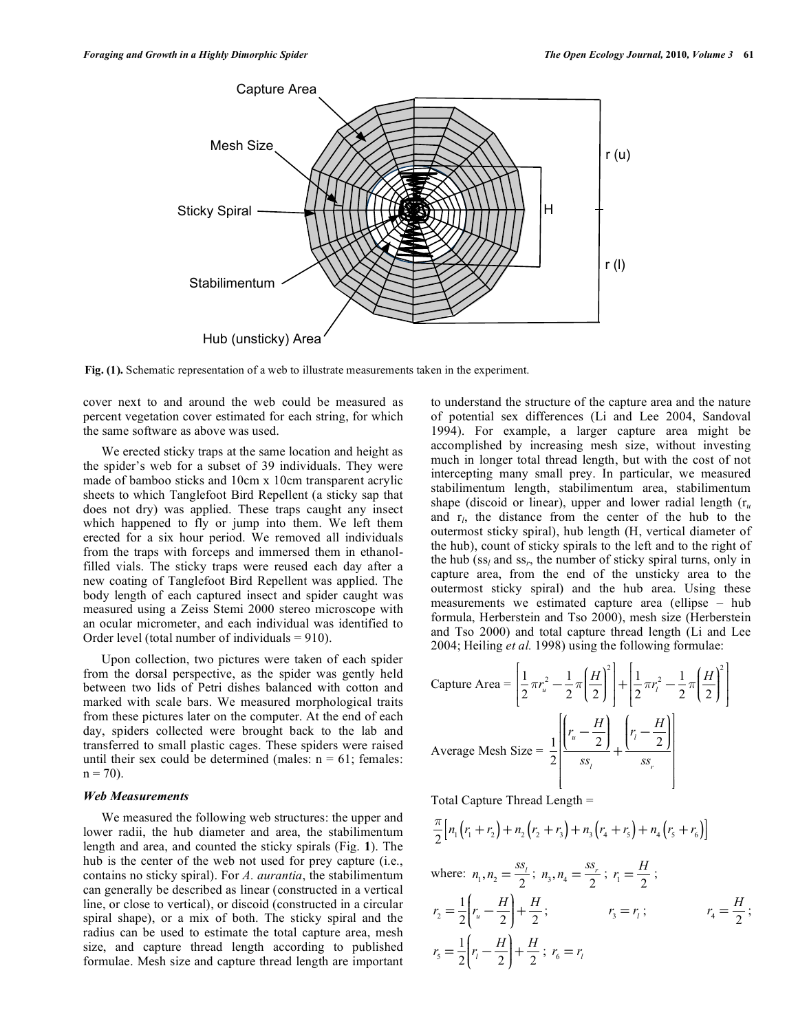

**Fig. (1).** Schematic representation of a web to illustrate measurements taken in the experiment.

cover next to and around the web could be measured as percent vegetation cover estimated for each string, for which the same software as above was used.

We erected sticky traps at the same location and height as the spider's web for a subset of 39 individuals. They were made of bamboo sticks and 10cm x 10cm transparent acrylic sheets to which Tanglefoot Bird Repellent (a sticky sap that does not dry) was applied. These traps caught any insect which happened to fly or jump into them. We left them erected for a six hour period. We removed all individuals from the traps with forceps and immersed them in ethanolfilled vials. The sticky traps were reused each day after a new coating of Tanglefoot Bird Repellent was applied. The body length of each captured insect and spider caught was measured using a Zeiss Stemi 2000 stereo microscope with an ocular micrometer, and each individual was identified to Order level (total number of individuals  $= 910$ ).

Upon collection, two pictures were taken of each spider from the dorsal perspective, as the spider was gently held between two lids of Petri dishes balanced with cotton and marked with scale bars. We measured morphological traits from these pictures later on the computer. At the end of each day, spiders collected were brought back to the lab and transferred to small plastic cages. These spiders were raised until their sex could be determined (males:  $n = 61$ ; females:  $n = 70$ ).

## *Web Measurements*

We measured the following web structures: the upper and lower radii, the hub diameter and area, the stabilimentum length and area, and counted the sticky spirals (Fig. **1**). The hub is the center of the web not used for prey capture (i.e., contains no sticky spiral). For *A. aurantia*, the stabilimentum can generally be described as linear (constructed in a vertical line, or close to vertical), or discoid (constructed in a circular spiral shape), or a mix of both. The sticky spiral and the radius can be used to estimate the total capture area, mesh size, and capture thread length according to published formulae. Mesh size and capture thread length are important

to understand the structure of the capture area and the nature of potential sex differences (Li and Lee 2004, Sandoval 1994). For example, a larger capture area might be accomplished by increasing mesh size, without investing much in longer total thread length, but with the cost of not intercepting many small prey. In particular, we measured stabilimentum length, stabilimentum area, stabilimentum shape (discoid or linear), upper and lower radial length  $(r_u)$ and r*l*, the distance from the center of the hub to the outermost sticky spiral), hub length (H, vertical diameter of the hub), count of sticky spirals to the left and to the right of the hub (ss*l* and ss*r*, the number of sticky spiral turns, only in capture area, from the end of the unsticky area to the outermost sticky spiral) and the hub area. Using these measurements we estimated capture area (ellipse – hub formula, Herberstein and Tso 2000), mesh size (Herberstein and Tso 2000) and total capture thread length (Li and Lee 2004; Heiling *et al.* 1998) using the following formulae:

Capture Area =

\n
$$
\left[ \frac{1}{2} \pi r_u^2 - \frac{1}{2} \pi \left( \frac{H}{2} \right)^2 \right] + \left[ \frac{1}{2} \pi r_l^2 - \frac{1}{2} \pi \left( \frac{H}{2} \right)^2 \right]
$$
\nAverage Mesh Size =

\n
$$
\frac{1}{2} \left[ \frac{r_u - \frac{H}{2}}{ss_j} + \frac{r_l - \frac{H}{2}}{ss_r} \right]
$$

Total Capture Thread Length =

$$
\frac{\pi}{2}\Big[n_1(r_1+r_2)+n_2(r_2+r_3)+n_3(r_4+r_5)+n_4(r_5+r_6)\Big]
$$

where: 
$$
n_1, n_2 = \frac{ss_i}{2}
$$
;  $n_3, n_4 = \frac{ss_r}{2}$ ;  $r_1 = \frac{H}{2}$ ;  
\n $r_2 = \frac{1}{2} \left( r_u - \frac{H}{2} \right) + \frac{H}{2}$ ;  $r_3 = r_i$ ;  $r_4 = \frac{H}{2}$ ;  
\n $r_5 = \frac{1}{2} \left( r_i - \frac{H}{2} \right) + \frac{H}{2}$ ;  $r_6 = r_i$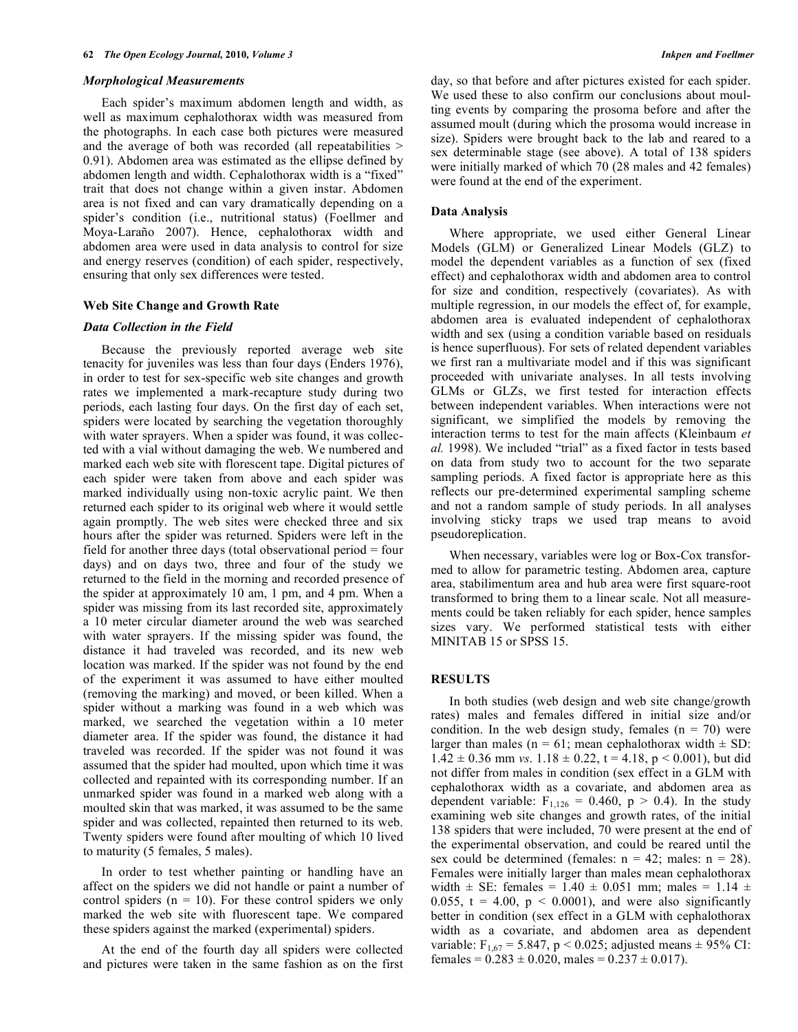#### *Morphological Measurements*

Each spider's maximum abdomen length and width, as well as maximum cephalothorax width was measured from the photographs. In each case both pictures were measured and the average of both was recorded (all repeatabilities > 0.91). Abdomen area was estimated as the ellipse defined by abdomen length and width. Cephalothorax width is a "fixed" trait that does not change within a given instar. Abdomen area is not fixed and can vary dramatically depending on a spider's condition (i.e., nutritional status) (Foellmer and Moya-Laraño 2007). Hence, cephalothorax width and abdomen area were used in data analysis to control for size and energy reserves (condition) of each spider, respectively, ensuring that only sex differences were tested.

## **Web Site Change and Growth Rate**

#### *Data Collection in the Field*

Because the previously reported average web site tenacity for juveniles was less than four days (Enders 1976), in order to test for sex-specific web site changes and growth rates we implemented a mark-recapture study during two periods, each lasting four days. On the first day of each set, spiders were located by searching the vegetation thoroughly with water sprayers. When a spider was found, it was collected with a vial without damaging the web. We numbered and marked each web site with florescent tape. Digital pictures of each spider were taken from above and each spider was marked individually using non-toxic acrylic paint. We then returned each spider to its original web where it would settle again promptly. The web sites were checked three and six hours after the spider was returned. Spiders were left in the field for another three days (total observational period = four days) and on days two, three and four of the study we returned to the field in the morning and recorded presence of the spider at approximately 10 am, 1 pm, and 4 pm. When a spider was missing from its last recorded site, approximately a 10 meter circular diameter around the web was searched with water sprayers. If the missing spider was found, the distance it had traveled was recorded, and its new web location was marked. If the spider was not found by the end of the experiment it was assumed to have either moulted (removing the marking) and moved, or been killed. When a spider without a marking was found in a web which was marked, we searched the vegetation within a 10 meter diameter area. If the spider was found, the distance it had traveled was recorded. If the spider was not found it was assumed that the spider had moulted, upon which time it was collected and repainted with its corresponding number. If an unmarked spider was found in a marked web along with a moulted skin that was marked, it was assumed to be the same spider and was collected, repainted then returned to its web. Twenty spiders were found after moulting of which 10 lived to maturity (5 females, 5 males).

In order to test whether painting or handling have an affect on the spiders we did not handle or paint a number of control spiders  $(n = 10)$ . For these control spiders we only marked the web site with fluorescent tape. We compared these spiders against the marked (experimental) spiders.

At the end of the fourth day all spiders were collected and pictures were taken in the same fashion as on the first day, so that before and after pictures existed for each spider. We used these to also confirm our conclusions about moulting events by comparing the prosoma before and after the assumed moult (during which the prosoma would increase in size). Spiders were brought back to the lab and reared to a sex determinable stage (see above). A total of 138 spiders were initially marked of which 70 (28 males and 42 females) were found at the end of the experiment.

#### **Data Analysis**

Where appropriate, we used either General Linear Models (GLM) or Generalized Linear Models (GLZ) to model the dependent variables as a function of sex (fixed effect) and cephalothorax width and abdomen area to control for size and condition, respectively (covariates). As with multiple regression, in our models the effect of, for example, abdomen area is evaluated independent of cephalothorax width and sex (using a condition variable based on residuals is hence superfluous). For sets of related dependent variables we first ran a multivariate model and if this was significant proceeded with univariate analyses. In all tests involving GLMs or GLZs, we first tested for interaction effects between independent variables. When interactions were not significant, we simplified the models by removing the interaction terms to test for the main affects (Kleinbaum *et al.* 1998). We included "trial" as a fixed factor in tests based on data from study two to account for the two separate sampling periods. A fixed factor is appropriate here as this reflects our pre-determined experimental sampling scheme and not a random sample of study periods. In all analyses involving sticky traps we used trap means to avoid pseudoreplication.

When necessary, variables were log or Box-Cox transformed to allow for parametric testing. Abdomen area, capture area, stabilimentum area and hub area were first square-root transformed to bring them to a linear scale. Not all measurements could be taken reliably for each spider, hence samples sizes vary. We performed statistical tests with either MINITAB 15 or SPSS 15.

# **RESULTS**

In both studies (web design and web site change/growth rates) males and females differed in initial size and/or condition. In the web design study, females  $(n = 70)$  were larger than males ( $n = 61$ ; mean cephalothorax width  $\pm$  SD:  $1.42 \pm 0.36$  mm *vs*.  $1.18 \pm 0.22$ ,  $t = 4.18$ ,  $p \le 0.001$ ), but did not differ from males in condition (sex effect in a GLM with cephalothorax width as a covariate, and abdomen area as dependent variable:  $F_{1,126} = 0.460$ ,  $p > 0.4$ ). In the study examining web site changes and growth rates, of the initial 138 spiders that were included, 70 were present at the end of the experimental observation, and could be reared until the sex could be determined (females:  $n = 42$ ; males:  $n = 28$ ). Females were initially larger than males mean cephalothorax width  $\pm$  SE: females = 1.40  $\pm$  0.051 mm; males = 1.14  $\pm$ 0.055,  $t = 4.00$ ,  $p < 0.0001$ ), and were also significantly better in condition (sex effect in a GLM with cephalothorax width as a covariate, and abdomen area as dependent variable:  $F_{1,67} = 5.847$ , p < 0.025; adjusted means  $\pm$  95% CI: females =  $0.283 \pm 0.020$ , males =  $0.237 \pm 0.017$ ).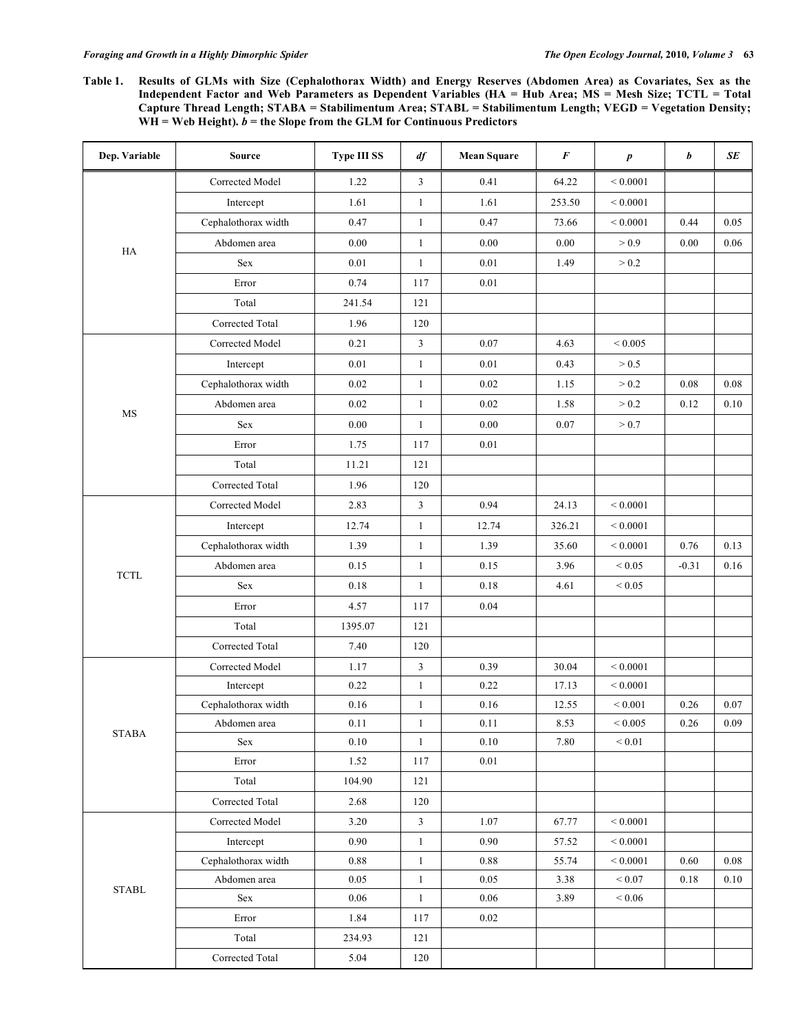Table 1. Results of GLMs with Size (Cephalothorax Width) and Energy Reserves (Abdomen Area) as Covariates, Sex as the Independent Factor and Web Parameters as Dependent Variables (HA = Hub Area; MS = Mesh Size; TCTL = Total **Capture Thread Length; STABA = Stabilimentum Area; STABL = Stabilimentum Length; VEGD = Vegetation Density;**  $WH = Web Height)$ .  $b =$  the Slope from the GLM for Continuous Predictors

| Dep. Variable                                           | Source               | <b>Type III SS</b> | df           | <b>Mean Square</b> | $\pmb{F}$ | $\boldsymbol{p}$ | b        | $\pmb{SE}$ |
|---------------------------------------------------------|----------------------|--------------------|--------------|--------------------|-----------|------------------|----------|------------|
| $\rm HA$                                                | Corrected Model      | 1.22               | 3            | 0.41               | 64.22     | ${}< 0.0001$     |          |            |
|                                                         | Intercept            | 1.61               | $\mathbf{1}$ | 1.61               | 253.50    | ${}< 0.0001$     |          |            |
|                                                         | Cephalothorax width  | 0.47               | $\mathbf{1}$ | 0.47               | 73.66     | ${}< 0.0001$     | 0.44     | 0.05       |
|                                                         | Abdomen area         | 0.00               | $\mathbf{1}$ | 0.00               | 0.00      | > 0.9            | 0.00     | 0.06       |
|                                                         | Sex                  | $0.01\,$           | 1            | $0.01\,$           | 1.49      | > 0.2            |          |            |
|                                                         | Error                | 0.74               | 117          | 0.01               |           |                  |          |            |
|                                                         | Total                | 241.54             | 121          |                    |           |                  |          |            |
|                                                         | Corrected Total      | 1.96               | 120          |                    |           |                  |          |            |
|                                                         | Corrected Model      | 0.21               | 3            | $0.07\,$           | 4.63      | ${}< 0.005$      |          |            |
|                                                         | Intercept            | $0.01\,$           | $\mathbf{1}$ | $0.01\,$           | 0.43      | > 0.5            |          |            |
|                                                         | Cephalothorax width  | 0.02               | 1            | $0.02\,$           | 1.15      | > 0.2            | $0.08\,$ | $0.08\,$   |
|                                                         | Abdomen area         | 0.02               | 1            | 0.02               | 1.58      | > 0.2            | 0.12     | $0.10\,$   |
| $\rm MS$                                                | Sex                  | 0.00               | -1           | 0.00               | 0.07      | > 0.7            |          |            |
|                                                         | Error                | 1.75               | 117          | $0.01\,$           |           |                  |          |            |
|                                                         | Total                | 11.21              | 121          |                    |           |                  |          |            |
|                                                         | Corrected Total      | 1.96               | 120          |                    |           |                  |          |            |
|                                                         | Corrected Model      | 2.83               | $\mathbf{3}$ | 0.94               | 24.13     | ${}< 0.0001$     |          |            |
| $\ensuremath{\mathsf{T}\mathsf{C}\mathsf{T}\mathsf{L}}$ | Intercept            | 12.74              | $\mathbf{1}$ | 12.74              | 326.21    | ${}< 0.0001$     |          |            |
|                                                         | Cephalothorax width  | 1.39               | $\mathbf{1}$ | 1.39               | 35.60     | ${}< 0.0001$     | 0.76     | 0.13       |
|                                                         | Abdomen area         | 0.15               | $\mathbf{1}$ | 0.15               | 3.96      | ${}_{0.05}$      | $-0.31$  | 0.16       |
|                                                         | Sex                  | $0.18\,$           | $\mathbf{1}$ | $0.18\,$           | 4.61      | ${}< 0.05$       |          |            |
|                                                         | Error                | 4.57               | 117          | $0.04\,$           |           |                  |          |            |
|                                                         | Total                | 1395.07            | 121          |                    |           |                  |          |            |
|                                                         | Corrected Total      | 7.40               | 120          |                    |           |                  |          |            |
|                                                         | Corrected Model      | 1.17               | 3            | 0.39               | 30.04     | ${}< 0.0001$     |          |            |
|                                                         | Intercept            | 0.22               | $\mathbf{1}$ | 0.22               | 17.13     | ${}< 0.0001$     |          |            |
|                                                         | Cephalothorax width  | 0.16               | 1            | 0.16               | 12.55     | ${}< 0.001$      | 0.26     | 0.07       |
| $\operatorname{STABA}$                                  | Abdomen area         | $0.11\,$           | 1            | $0.11\,$           | 8.53      | $\leq 0.005$     | 0.26     | 0.09       |
|                                                         | Sex                  | 0.10               | $\mathbf{1}$ | 0.10               | 7.80      | $\leq 0.01$      |          |            |
|                                                         | Error                | 1.52               | 117          | $0.01\,$           |           |                  |          |            |
|                                                         | Total                | 104.90             | 121          |                    |           |                  |          |            |
|                                                         | Corrected Total      | 2.68               | 120          |                    |           |                  |          |            |
| $\operatorname{STABL}$                                  | Corrected Model      | 3.20               | $\mathbf{3}$ | 1.07               | 67.77     | ${}< 0.0001$     |          |            |
|                                                         | Intercept            | 0.90               | $\mathbf{1}$ | 0.90               | 57.52     | ${}< 0.0001$     |          |            |
|                                                         | Cephalothorax width  | 0.88               | $\mathbf{1}$ | $0.88\,$           | 55.74     | ${}< 0.0001$     | 0.60     | $0.08\,$   |
|                                                         | Abdomen area         | 0.05               | $\mathbf{1}$ | 0.05               | 3.38      | $\leq 0.07$      | 0.18     | $0.10\,$   |
|                                                         | $\operatorname{Sex}$ | 0.06               | $\mathbf{1}$ | 0.06               | 3.89      | ${}< 0.06$       |          |            |
|                                                         | Error                | 1.84               | 117          | 0.02               |           |                  |          |            |
|                                                         | Total                | 234.93             | 121          |                    |           |                  |          |            |
|                                                         | Corrected Total      | 5.04               | 120          |                    |           |                  |          |            |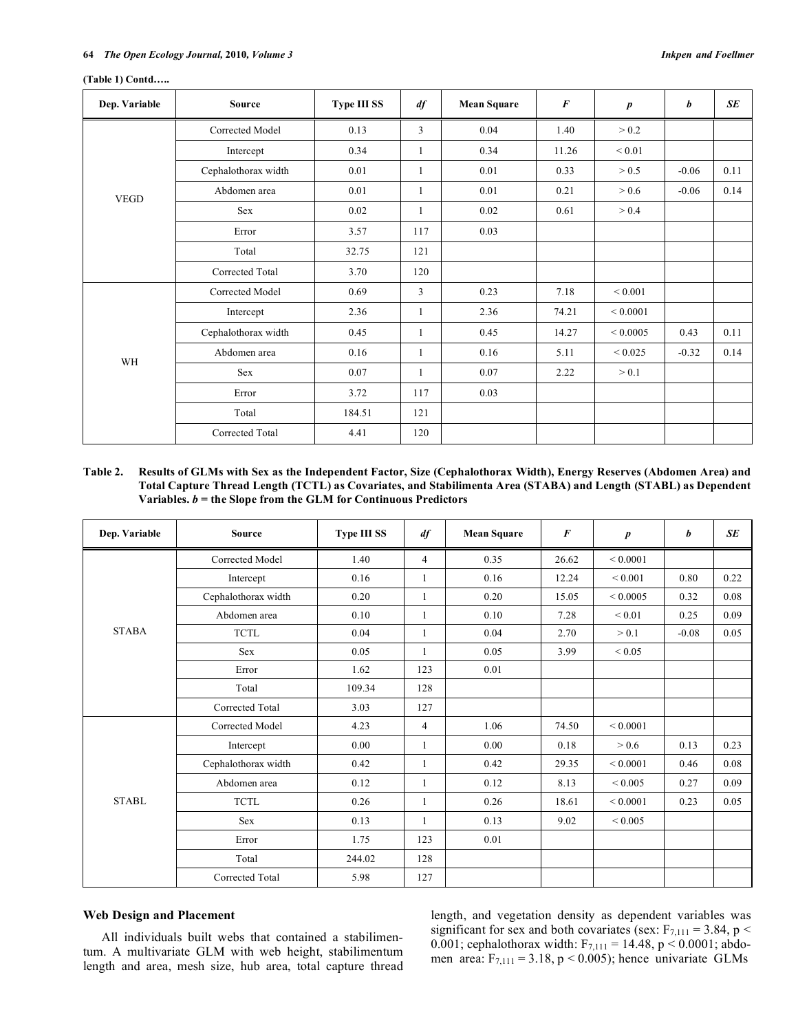| Dep. Variable | <b>Source</b>       | <b>Type III SS</b> | df           | <b>Mean Square</b> | $\boldsymbol{F}$ | $\boldsymbol{p}$ | b       | SE   |
|---------------|---------------------|--------------------|--------------|--------------------|------------------|------------------|---------|------|
| <b>VEGD</b>   | Corrected Model     | 0.13               | 3            | 0.04               | 1.40             | > 0.2            |         |      |
|               | Intercept           | 0.34               | 1            | 0.34               | 11.26            | ${}_{0.01}$      |         |      |
|               | Cephalothorax width | 0.01               | 1            | 0.01               | 0.33             | > 0.5            | $-0.06$ | 0.11 |
|               | Abdomen area        | 0.01               | 1            | 0.01               | 0.21             | > 0.6            | $-0.06$ | 0.14 |
|               | Sex                 | 0.02               | 1            | 0.02               | 0.61             | > 0.4            |         |      |
|               | Error               | 3.57               | 117          | 0.03               |                  |                  |         |      |
|               | Total               | 32.75              | 121          |                    |                  |                  |         |      |
|               | Corrected Total     | 3.70               | 120          |                    |                  |                  |         |      |
| WH            | Corrected Model     | 0.69               | 3            | 0.23               | 7.18             | ${}< 0.001$      |         |      |
|               | Intercept           | 2.36               | 1            | 2.36               | 74.21            | ${}_{0.0001}$    |         |      |
|               | Cephalothorax width | 0.45               | 1            | 0.45               | 14.27            | ${}_{0.0005}$    | 0.43    | 0.11 |
|               | Abdomen area        | 0.16               | 1            | 0.16               | 5.11             | ${}< 0.025$      | $-0.32$ | 0.14 |
|               | Sex                 | 0.07               | $\mathbf{1}$ | 0.07               | 2.22             | > 0.1            |         |      |
|               | Error               | 3.72               | 117          | 0.03               |                  |                  |         |      |
|               | Total               | 184.51             | 121          |                    |                  |                  |         |      |
|               | Corrected Total     | 4.41               | 120          |                    |                  |                  |         |      |

#### **(Table 1) Contd…..**

# Table 2. Results of GLMs with Sex as the Independent Factor, Size (Cephalothorax Width), Energy Reserves (Abdomen Area) and **Total Capture Thread Length (TCTL) as Covariates, and Stabilimenta Area (STABA) and Length (STABL) as Dependent Variables.** *b* **= the Slope from the GLM for Continuous Predictors**

| Dep. Variable | <b>Source</b>       | <b>Type III SS</b> | df             | <b>Mean Square</b> | $\boldsymbol{F}$ | $\boldsymbol{p}$ | b       | <b>SE</b> |
|---------------|---------------------|--------------------|----------------|--------------------|------------------|------------------|---------|-----------|
| <b>STABA</b>  | Corrected Model     | 1.40               | $\overline{4}$ | 0.35               | 26.62            | ${}_{0.0001}$    |         |           |
|               | Intercept           | 0.16               | 1              | 0.16               | 12.24            | ${}< 0.001$      | 0.80    | 0.22      |
|               | Cephalothorax width | 0.20               | $\mathbf{1}$   | 0.20               | 15.05            | ${}_{0.0005}$    | 0.32    | 0.08      |
|               | Abdomen area        | 0.10               | 1              | 0.10               | 7.28             | ${}_{0.01}$      | 0.25    | 0.09      |
|               | <b>TCTL</b>         | 0.04               | 1              | 0.04               | 2.70             | > 0.1            | $-0.08$ | 0.05      |
|               | Sex                 | 0.05               | 1              | 0.05               | 3.99             | ${}_{0.05}$      |         |           |
|               | Error               | 1.62               | 123            | 0.01               |                  |                  |         |           |
|               | Total               | 109.34             | 128            |                    |                  |                  |         |           |
|               | Corrected Total     | 3.03               | 127            |                    |                  |                  |         |           |
| <b>STABL</b>  | Corrected Model     | 4.23               | $\overline{4}$ | 1.06               | 74.50            | ${}_{0.0001}$    |         |           |
|               | Intercept           | 0.00               | $\mathbf{1}$   | 0.00               | 0.18             | > 0.6            | 0.13    | 0.23      |
|               | Cephalothorax width | 0.42               | 1              | 0.42               | 29.35            | ${}_{0.0001}$    | 0.46    | 0.08      |
|               | Abdomen area        | 0.12               | 1              | 0.12               | 8.13             | ${}< 0.005$      | 0.27    | 0.09      |
|               | <b>TCTL</b>         | 0.26               | 1              | 0.26               | 18.61            | ${}_{0.0001}$    | 0.23    | 0.05      |
|               | Sex                 | 0.13               |                | 0.13               | 9.02             | ${}_{0.005}$     |         |           |
|               | Error               | 1.75               | 123            | 0.01               |                  |                  |         |           |
|               | Total               | 244.02             | 128            |                    |                  |                  |         |           |
|               | Corrected Total     | 5.98               | 127            |                    |                  |                  |         |           |

# **Web Design and Placement**

All individuals built webs that contained a stabilimentum. A multivariate GLM with web height, stabilimentum length and area, mesh size, hub area, total capture thread length, and vegetation density as dependent variables was significant for sex and both covariates (sex:  $F_{7,111} = 3.84$ , p < 0.001; cephalothorax width:  $F_{7,111} = 14.48$ , p < 0.0001; abdomen area:  $F_{7,111} = 3.18$ , p < 0.005); hence univariate GLMs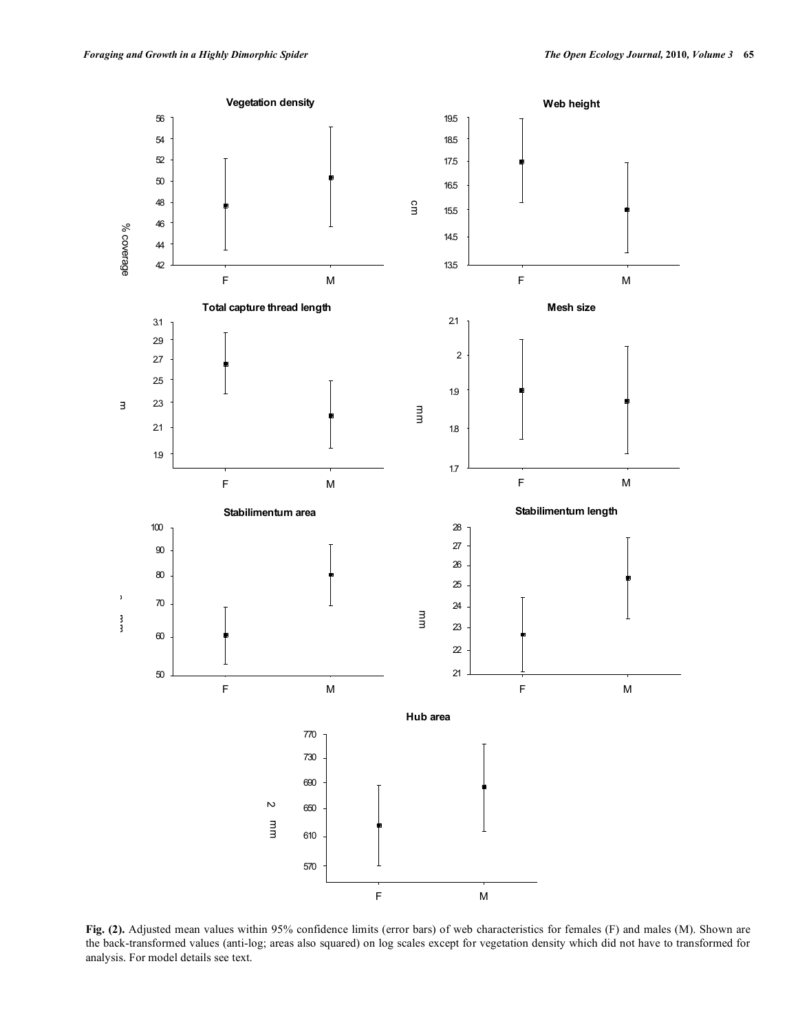

**Fig. (2).** Adjusted mean values within 95% confidence limits (error bars) of web characteristics for females (F) and males (M). Shown are the back-transformed values (anti-log; areas also squared) on log scales except for vegetation density which did not have to transformed for analysis. For model details see text.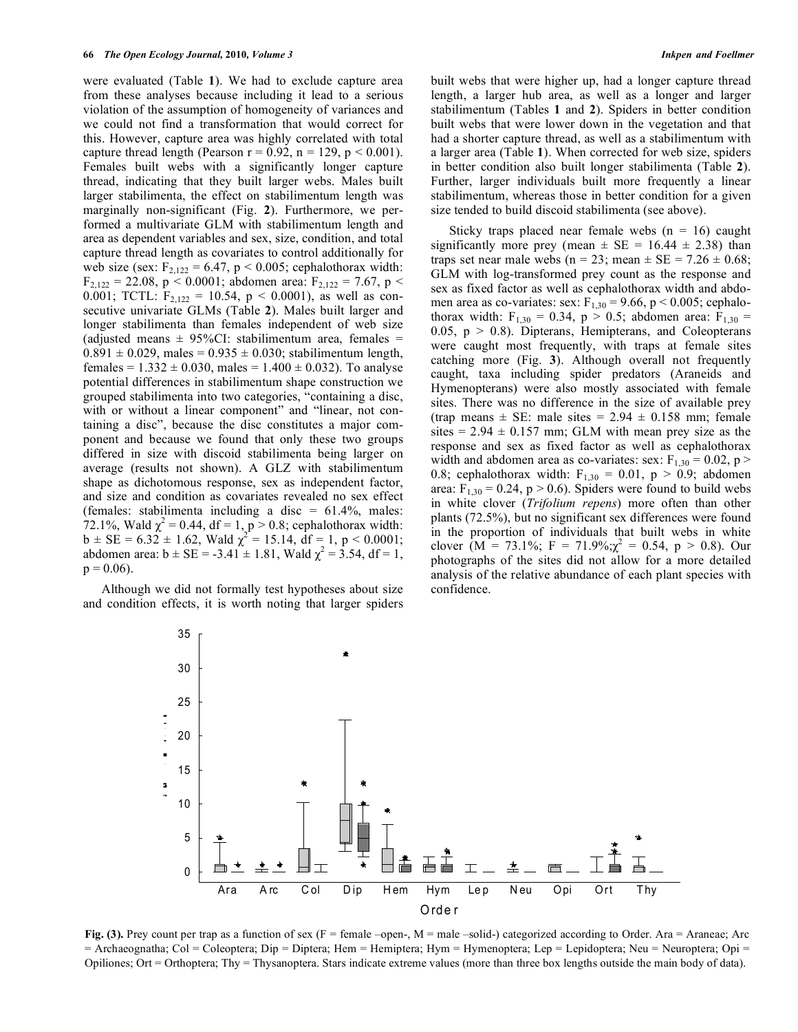were evaluated (Table **1**). We had to exclude capture area from these analyses because including it lead to a serious violation of the assumption of homogeneity of variances and we could not find a transformation that would correct for this. However, capture area was highly correlated with total capture thread length (Pearson  $r = 0.92$ ,  $n = 129$ ,  $p < 0.001$ ). Females built webs with a significantly longer capture thread, indicating that they built larger webs. Males built larger stabilimenta, the effect on stabilimentum length was marginally non-significant (Fig. **2**). Furthermore, we performed a multivariate GLM with stabilimentum length and area as dependent variables and sex, size, condition, and total capture thread length as covariates to control additionally for web size (sex:  $F_{2,122} = 6.47$ ,  $p < 0.005$ ; cephalothorax width:  $F_{2,122} = 22.08$ , p < 0.0001; abdomen area:  $F_{2,122} = 7.67$ , p < 0.001; TCTL:  $F_{2,122} = 10.54$ ,  $p < 0.0001$ ), as well as consecutive univariate GLMs (Table **2**). Males built larger and longer stabilimenta than females independent of web size (adjusted means  $\pm$  95%CI: stabilimentum area, females =  $0.891 \pm 0.029$ , males =  $0.935 \pm 0.030$ ; stabilimentum length, females =  $1.332 \pm 0.030$ , males =  $1.400 \pm 0.032$ ). To analyse potential differences in stabilimentum shape construction we grouped stabilimenta into two categories, "containing a disc, with or without a linear component" and "linear, not containing a disc", because the disc constitutes a major component and because we found that only these two groups differed in size with discoid stabilimenta being larger on average (results not shown). A GLZ with stabilimentum shape as dichotomous response, sex as independent factor, and size and condition as covariates revealed no sex effect (females: stabilimenta including a disc =  $61.4\%$ , males: 72.1%, Wald  $\chi^2 = 0.44$ , df = 1, p > 0.8; cephalothorax width:  $b \pm SE = 6.32 \pm 1.62$ , Wald  $\chi^2 = 15.14$ ,  $df = 1$ ,  $p < 0.0001$ ; abdomen area:  $b \pm SE = -3.41 \pm 1.81$ , Wald  $\chi^2 = 3.54$ , df = 1,  $p = 0.06$ ).

Although we did not formally test hypotheses about size and condition effects, it is worth noting that larger spiders built webs that were higher up, had a longer capture thread length, a larger hub area, as well as a longer and larger stabilimentum (Tables **1** and **2**). Spiders in better condition built webs that were lower down in the vegetation and that had a shorter capture thread, as well as a stabilimentum with a larger area (Table **1**). When corrected for web size, spiders in better condition also built longer stabilimenta (Table **2**). Further, larger individuals built more frequently a linear stabilimentum, whereas those in better condition for a given size tended to build discoid stabilimenta (see above).

Sticky traps placed near female webs  $(n = 16)$  caught significantly more prey (mean  $\pm$  SE = 16.44  $\pm$  2.38) than traps set near male webs (n = 23; mean  $\pm$  SE = 7.26  $\pm$  0.68; GLM with log-transformed prey count as the response and sex as fixed factor as well as cephalothorax width and abdomen area as co-variates: sex:  $F_{1,30} = 9.66$ , p < 0.005; cephalothorax width:  $F_{1,30} = 0.34$ ,  $p > 0.5$ ; abdomen area:  $F_{1,30} =$ 0.05,  $p > 0.8$ ). Dipterans, Hemipterans, and Coleopterans were caught most frequently, with traps at female sites catching more (Fig. **3**). Although overall not frequently caught, taxa including spider predators (Araneids and Hymenopterans) were also mostly associated with female sites. There was no difference in the size of available prey (trap means  $\pm$  SE: male sites = 2.94  $\pm$  0.158 mm; female sites =  $2.94 \pm 0.157$  mm; GLM with mean prey size as the response and sex as fixed factor as well as cephalothorax width and abdomen area as co-variates: sex:  $F_{1,30} = 0.02$ , p > 0.8; cephalothorax width:  $F_{1,30} = 0.01$ ,  $p > 0.9$ ; abdomen area:  $F_{1,30} = 0.24$ , p > 0.6). Spiders were found to build webs in white clover (*Trifolium repens*) more often than other plants (72.5%), but no significant sex differences were found in the proportion of individuals that built webs in white clover  $(M = 73.1\%; F = 71.9\%; \chi^2 = 0.54, p > 0.8)$ . Our photographs of the sites did not allow for a more detailed analysis of the relative abundance of each plant species with confidence.



**Fig.** (3). Prey count per trap as a function of sex (F = female –open-, M = male –solid-) categorized according to Order. Ara = Araneae; Arc = Archaeognatha; Col = Coleoptera; Dip = Diptera; Hem = Hemiptera; Hym = Hymenoptera; Lep = Lepidoptera; Neu = Neuroptera; Opi = Opiliones; Ort = Orthoptera; Thy = Thysanoptera. Stars indicate extreme values (more than three box lengths outside the main body of data).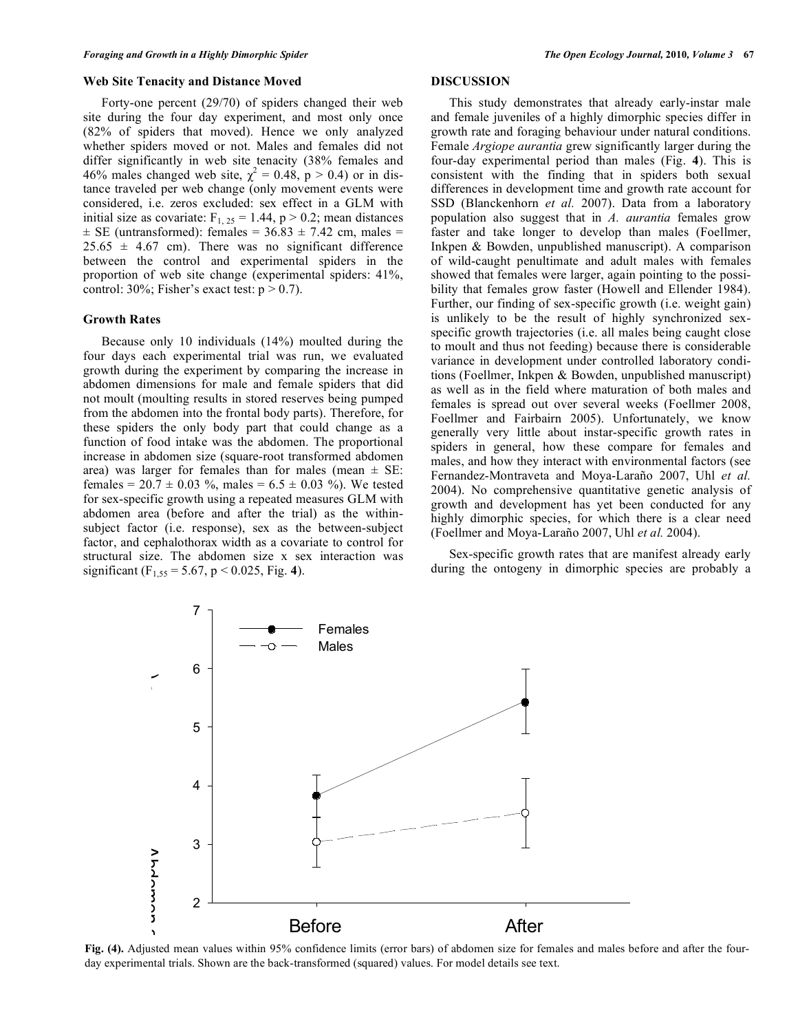## **Web Site Tenacity and Distance Moved**

Forty-one percent (29/70) of spiders changed their web site during the four day experiment, and most only once (82% of spiders that moved). Hence we only analyzed whether spiders moved or not. Males and females did not differ significantly in web site tenacity (38% females and 46% males changed web site,  $\chi^2 = 0.48$ , p > 0.4) or in distance traveled per web change (only movement events were considered, i.e. zeros excluded: sex effect in a GLM with initial size as covariate:  $F_{1, 25} = 1.44$ ,  $p > 0.2$ ; mean distances  $\pm$  SE (untransformed): females = 36.83  $\pm$  7.42 cm, males =  $25.65 \pm 4.67$  cm). There was no significant difference between the control and experimental spiders in the proportion of web site change (experimental spiders: 41%, control:  $30\%$ ; Fisher's exact test:  $p > 0.7$ ).

## **Growth Rates**

Because only 10 individuals (14%) moulted during the four days each experimental trial was run, we evaluated growth during the experiment by comparing the increase in abdomen dimensions for male and female spiders that did not moult (moulting results in stored reserves being pumped from the abdomen into the frontal body parts). Therefore, for these spiders the only body part that could change as a function of food intake was the abdomen. The proportional increase in abdomen size (square-root transformed abdomen area) was larger for females than for males (mean  $\pm$  SE: females =  $20.7 \pm 0.03$  %, males =  $6.5 \pm 0.03$  %). We tested for sex-specific growth using a repeated measures GLM with abdomen area (before and after the trial) as the withinsubject factor (i.e. response), sex as the between-subject factor, and cephalothorax width as a covariate to control for structural size. The abdomen size x sex interaction was significant (F<sub>1,55</sub> = 5.67, p < 0.025, Fig. 4).

# **DISCUSSION**

This study demonstrates that already early-instar male and female juveniles of a highly dimorphic species differ in growth rate and foraging behaviour under natural conditions. Female *Argiope aurantia* grew significantly larger during the four-day experimental period than males (Fig. **4**). This is consistent with the finding that in spiders both sexual differences in development time and growth rate account for SSD (Blanckenhorn *et al.* 2007). Data from a laboratory population also suggest that in *A. aurantia* females grow faster and take longer to develop than males (Foellmer, Inkpen & Bowden, unpublished manuscript). A comparison of wild-caught penultimate and adult males with females showed that females were larger, again pointing to the possibility that females grow faster (Howell and Ellender 1984). Further, our finding of sex-specific growth (i.e. weight gain) is unlikely to be the result of highly synchronized sexspecific growth trajectories (i.e. all males being caught close to moult and thus not feeding) because there is considerable variance in development under controlled laboratory conditions (Foellmer, Inkpen & Bowden, unpublished manuscript) as well as in the field where maturation of both males and females is spread out over several weeks (Foellmer 2008, Foellmer and Fairbairn 2005). Unfortunately, we know generally very little about instar-specific growth rates in spiders in general, how these compare for females and males, and how they interact with environmental factors (see Fernandez-Montraveta and Moya-Laraño 2007, Uhl *et al.* 2004). No comprehensive quantitative genetic analysis of growth and development has yet been conducted for any highly dimorphic species, for which there is a clear need (Foellmer and Moya-Laraño 2007, Uhl *et al.* 2004).

Sex-specific growth rates that are manifest already early during the ontogeny in dimorphic species are probably a



Fig. (4). Adjusted mean values within 95% confidence limits (error bars) of abdomen size for females and males before and after the foura day experimental trials. Shown are the back-transformed (squared) values. For model details see text.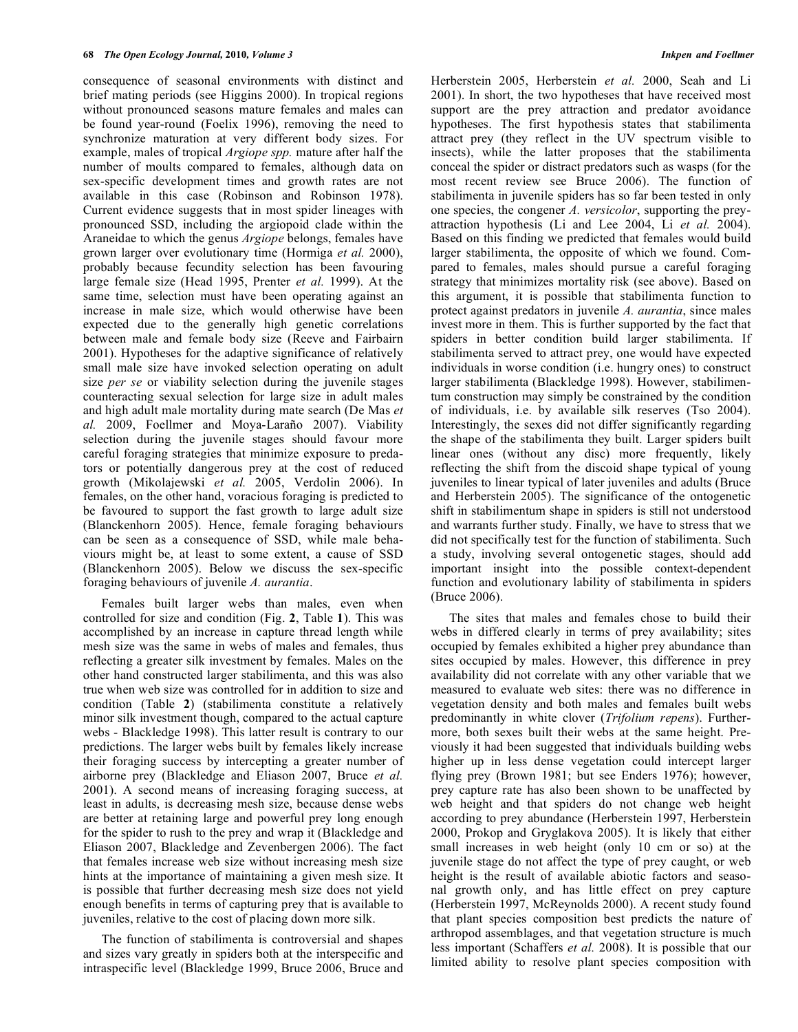consequence of seasonal environments with distinct and brief mating periods (see Higgins 2000). In tropical regions without pronounced seasons mature females and males can be found year-round (Foelix 1996), removing the need to synchronize maturation at very different body sizes. For example, males of tropical *Argiope spp.* mature after half the number of moults compared to females, although data on sex-specific development times and growth rates are not available in this case (Robinson and Robinson 1978). Current evidence suggests that in most spider lineages with pronounced SSD, including the argiopoid clade within the Araneidae to which the genus *Argiope* belongs, females have grown larger over evolutionary time (Hormiga *et al.* 2000), probably because fecundity selection has been favouring large female size (Head 1995, Prenter *et al.* 1999). At the same time, selection must have been operating against an increase in male size, which would otherwise have been expected due to the generally high genetic correlations between male and female body size (Reeve and Fairbairn 2001). Hypotheses for the adaptive significance of relatively small male size have invoked selection operating on adult size *per se* or viability selection during the juvenile stages counteracting sexual selection for large size in adult males and high adult male mortality during mate search (De Mas *et al.* 2009, Foellmer and Moya-Laraño 2007). Viability selection during the juvenile stages should favour more careful foraging strategies that minimize exposure to predators or potentially dangerous prey at the cost of reduced growth (Mikolajewski *et al.* 2005, Verdolin 2006). In females, on the other hand, voracious foraging is predicted to be favoured to support the fast growth to large adult size (Blanckenhorn 2005). Hence, female foraging behaviours can be seen as a consequence of SSD, while male behaviours might be, at least to some extent, a cause of SSD (Blanckenhorn 2005). Below we discuss the sex-specific foraging behaviours of juvenile *A. aurantia*.

Females built larger webs than males, even when controlled for size and condition (Fig. **2**, Table **1**). This was accomplished by an increase in capture thread length while mesh size was the same in webs of males and females, thus reflecting a greater silk investment by females. Males on the other hand constructed larger stabilimenta, and this was also true when web size was controlled for in addition to size and condition (Table **2**) (stabilimenta constitute a relatively minor silk investment though, compared to the actual capture webs - Blackledge 1998). This latter result is contrary to our predictions. The larger webs built by females likely increase their foraging success by intercepting a greater number of airborne prey (Blackledge and Eliason 2007, Bruce *et al.* 2001). A second means of increasing foraging success, at least in adults, is decreasing mesh size, because dense webs are better at retaining large and powerful prey long enough for the spider to rush to the prey and wrap it (Blackledge and Eliason 2007, Blackledge and Zevenbergen 2006). The fact that females increase web size without increasing mesh size hints at the importance of maintaining a given mesh size. It is possible that further decreasing mesh size does not yield enough benefits in terms of capturing prey that is available to juveniles, relative to the cost of placing down more silk.

The function of stabilimenta is controversial and shapes and sizes vary greatly in spiders both at the interspecific and intraspecific level (Blackledge 1999, Bruce 2006, Bruce and Herberstein 2005, Herberstein *et al.* 2000, Seah and Li 2001). In short, the two hypotheses that have received most support are the prey attraction and predator avoidance hypotheses. The first hypothesis states that stabilimenta attract prey (they reflect in the UV spectrum visible to insects), while the latter proposes that the stabilimenta conceal the spider or distract predators such as wasps (for the most recent review see Bruce 2006). The function of stabilimenta in juvenile spiders has so far been tested in only one species, the congener *A. versicolor*, supporting the preyattraction hypothesis (Li and Lee 2004, Li *et al.* 2004). Based on this finding we predicted that females would build larger stabilimenta, the opposite of which we found. Compared to females, males should pursue a careful foraging strategy that minimizes mortality risk (see above). Based on this argument, it is possible that stabilimenta function to protect against predators in juvenile *A. aurantia*, since males invest more in them. This is further supported by the fact that spiders in better condition build larger stabilimenta. If stabilimenta served to attract prey, one would have expected individuals in worse condition (i.e. hungry ones) to construct larger stabilimenta (Blackledge 1998). However, stabilimentum construction may simply be constrained by the condition of individuals, i.e. by available silk reserves (Tso 2004). Interestingly, the sexes did not differ significantly regarding the shape of the stabilimenta they built. Larger spiders built linear ones (without any disc) more frequently, likely reflecting the shift from the discoid shape typical of young juveniles to linear typical of later juveniles and adults (Bruce) and Herberstein 2005). The significance of the ontogenetic shift in stabilimentum shape in spiders is still not understood and warrants further study. Finally, we have to stress that we did not specifically test for the function of stabilimenta. Such a study, involving several ontogenetic stages, should add important insight into the possible context-dependent function and evolutionary lability of stabilimenta in spiders (Bruce 2006).

The sites that males and females chose to build their webs in differed clearly in terms of prey availability; sites occupied by females exhibited a higher prey abundance than sites occupied by males. However, this difference in prey availability did not correlate with any other variable that we measured to evaluate web sites: there was no difference in vegetation density and both males and females built webs predominantly in white clover (*Trifolium repens*). Furthermore, both sexes built their webs at the same height. Previously it had been suggested that individuals building webs higher up in less dense vegetation could intercept larger flying prey (Brown 1981; but see Enders 1976); however, prey capture rate has also been shown to be unaffected by web height and that spiders do not change web height according to prey abundance (Herberstein 1997, Herberstein 2000, Prokop and Gryglakova 2005). It is likely that either small increases in web height (only 10 cm or so) at the juvenile stage do not affect the type of prey caught, or web height is the result of available abiotic factors and seasonal growth only, and has little effect on prey capture (Herberstein 1997, McReynolds 2000). A recent study found that plant species composition best predicts the nature of arthropod assemblages, and that vegetation structure is much less important (Schaffers *et al.* 2008). It is possible that our limited ability to resolve plant species composition with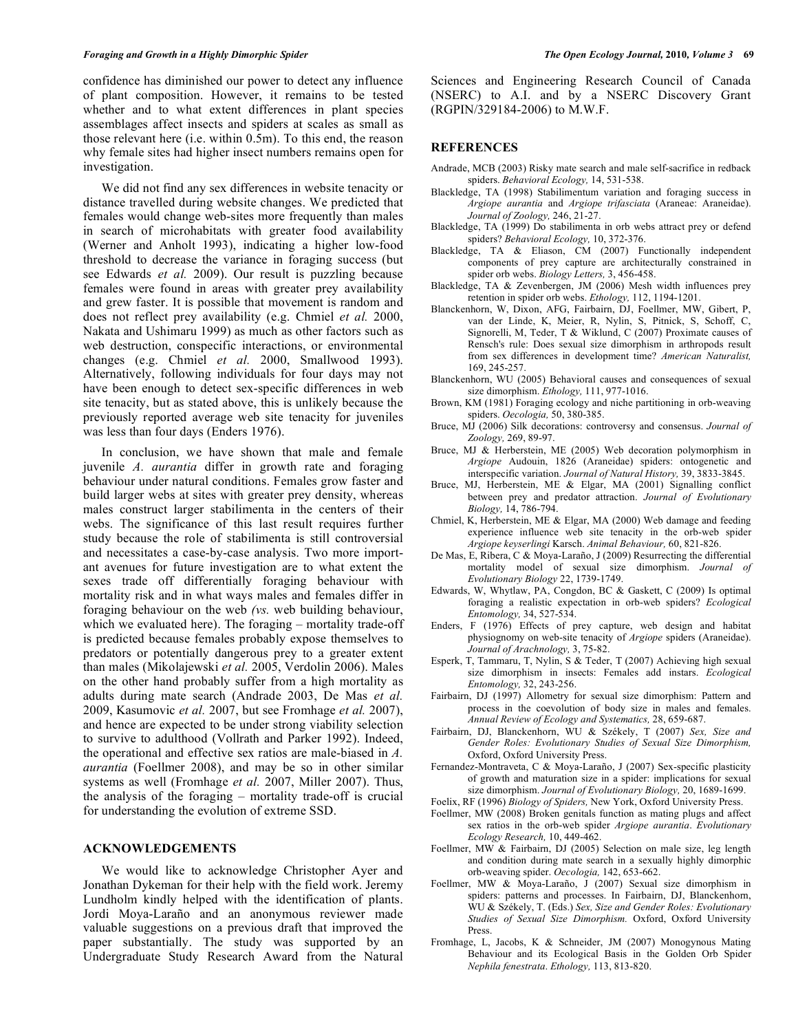## *Foraging and Growth in a Highly Dimorphic Spider The Open Ecology Journal,* **2010***, Volume 3* **69**

confidence has diminished our power to detect any influence of plant composition. However, it remains to be tested whether and to what extent differences in plant species assemblages affect insects and spiders at scales as small as those relevant here (i.e. within 0.5m). To this end, the reason why female sites had higher insect numbers remains open for investigation.

We did not find any sex differences in website tenacity or distance travelled during website changes. We predicted that females would change web-sites more frequently than males in search of microhabitats with greater food availability (Werner and Anholt 1993), indicating a higher low-food threshold to decrease the variance in foraging success (but see Edwards *et al.* 2009). Our result is puzzling because females were found in areas with greater prey availability and grew faster. It is possible that movement is random and does not reflect prey availability (e.g. Chmiel *et al.* 2000, Nakata and Ushimaru 1999) as much as other factors such as web destruction, conspecific interactions, or environmental changes (e.g. Chmiel *et al.* 2000, Smallwood 1993). Alternatively, following individuals for four days may not have been enough to detect sex-specific differences in web site tenacity, but as stated above, this is unlikely because the previously reported average web site tenacity for juveniles was less than four days (Enders 1976).

In conclusion, we have shown that male and female juvenile *A. aurantia* differ in growth rate and foraging behaviour under natural conditions. Females grow faster and build larger webs at sites with greater prey density, whereas males construct larger stabilimenta in the centers of their webs. The significance of this last result requires further study because the role of stabilimenta is still controversial and necessitates a case-by-case analysis. Two more important avenues for future investigation are to what extent the sexes trade off differentially foraging behaviour with mortality risk and in what ways males and females differ in foraging behaviour on the web *(vs.* web building behaviour, which we evaluated here). The foraging – mortality trade-off is predicted because females probably expose themselves to predators or potentially dangerous prey to a greater extent than males (Mikolajewski *et al.* 2005, Verdolin 2006). Males on the other hand probably suffer from a high mortality as adults during mate search (Andrade 2003, De Mas *et al.* 2009, Kasumovic *et al.* 2007, but see Fromhage *et al.* 2007), and hence are expected to be under strong viability selection to survive to adulthood (Vollrath and Parker 1992). Indeed, the operational and effective sex ratios are male-biased in *A. aurantia* (Foellmer 2008), and may be so in other similar systems as well (Fromhage *et al.* 2007, Miller 2007). Thus, the analysis of the foraging – mortality trade-off is crucial for understanding the evolution of extreme SSD.

# **ACKNOWLEDGEMENTS**

We would like to acknowledge Christopher Ayer and Jonathan Dykeman for their help with the field work. Jeremy Lundholm kindly helped with the identification of plants. Jordi Moya-Laraño and an anonymous reviewer made valuable suggestions on a previous draft that improved the paper substantially. The study was supported by an Undergraduate Study Research Award from the Natural

Sciences and Engineering Research Council of Canada (NSERC) to A.I. and by a NSERC Discovery Grant (RGPIN/329184-2006) to M.W.F.

# **REFERENCES**

- Andrade, MCB (2003) Risky mate search and male self-sacrifice in redback spiders. *Behavioral Ecology,* 14, 531-538.
- Blackledge, TA (1998) Stabilimentum variation and foraging success in *Argiope aurantia* and *Argiope trifasciata* (Araneae: Araneidae). *Journal of Zoology,* 246, 21-27.
- Blackledge, TA (1999) Do stabilimenta in orb webs attract prey or defend spiders? *Behavioral Ecology,* 10, 372-376.
- Blackledge, TA & Eliason, CM (2007) Functionally independent components of prey capture are architecturally constrained in spider orb webs. *Biology Letters,* 3, 456-458.
- Blackledge, TA & Zevenbergen, JM (2006) Mesh width influences prey retention in spider orb webs. *Ethology,* 112, 1194-1201.
- Blanckenhorn, W, Dixon, AFG, Fairbairn, DJ, Foellmer, MW, Gibert, P, van der Linde, K, Meier, R, Nylin, S, Pitnick, S, Schoff, C, Signorelli, M, Teder, T & Wiklund, C (2007) Proximate causes of Rensch's rule: Does sexual size dimorphism in arthropods result from sex differences in development time? *American Naturalist,* 169, 245-257.
- Blanckenhorn, WU (2005) Behavioral causes and consequences of sexual size dimorphism. *Ethology,* 111, 977-1016.
- Brown, KM (1981) Foraging ecology and niche partitioning in orb-weaving spiders. *Oecologia,* 50, 380-385.
- Bruce, MJ (2006) Silk decorations: controversy and consensus. *Journal of Zoology,* 269, 89-97.
- Bruce, MJ & Herberstein, ME (2005) Web decoration polymorphism in *Argiope* Audouin, 1826 (Araneidae) spiders: ontogenetic and interspecific variation. *Journal of Natural History,* 39, 3833-3845.
- Bruce, MJ, Herberstein, ME & Elgar, MA (2001) Signalling conflict between prey and predator attraction. *Journal of Evolutionary Biology,* 14, 786-794.
- Chmiel, K, Herberstein, ME & Elgar, MA (2000) Web damage and feeding experience influence web site tenacity in the orb-web spider *Argiope keyserlingi* Karsch. *Animal Behaviour,* 60, 821-826.
- De Mas, E, Ribera, C & Moya-Laraño, J (2009) Resurrecting the differential mortality model of sexual size dimorphism. *Journal of Evolutionary Biology* 22, 1739-1749.
- Edwards, W, Whytlaw, PA, Congdon, BC & Gaskett, C (2009) Is optimal foraging a realistic expectation in orb-web spiders? *Ecological Entomology,* 34, 527-534.
- Enders, F (1976) Effects of prey capture, web design and habitat physiognomy on web-site tenacity of *Argiope* spiders (Araneidae). *Journal of Arachnology,* 3, 75-82.
- Esperk, T, Tammaru, T, Nylin, S & Teder, T (2007) Achieving high sexual size dimorphism in insects: Females add instars. *Ecological Entomology,* 32, 243-256.
- Fairbairn, DJ (1997) Allometry for sexual size dimorphism: Pattern and process in the coevolution of body size in males and females. *Annual Review of Ecology and Systematics,* 28, 659-687.
- Fairbairn, DJ, Blanckenhorn, WU & Székely, T (2007) *Sex, Size and Gender Roles: Evolutionary Studies of Sexual Size Dimorphism,* Oxford, Oxford University Press.
- Fernandez-Montraveta, C & Moya-Laraño, J (2007) Sex-specific plasticity of growth and maturation size in a spider: implications for sexual size dimorphism. *Journal of Evolutionary Biology,* 20, 1689-1699.
- Foelix, RF (1996) *Biology of Spiders,* New York, Oxford University Press.
- Foellmer, MW (2008) Broken genitals function as mating plugs and affect sex ratios in the orb-web spider *Argiope aurantia*. *Evolutionary Ecology Research,* 10, 449-462.
- Foellmer, MW & Fairbairn, DJ (2005) Selection on male size, leg length and condition during mate search in a sexually highly dimorphic orb-weaving spider. *Oecologia,* 142, 653-662.
- Foellmer, MW & Moya-Laraño, J (2007) Sexual size dimorphism in spiders: patterns and processes. In Fairbairn, DJ, Blanckenhorn, WU & Székely, T. (Eds.) *Sex, Size and Gender Roles: Evolutionary Studies of Sexual Size Dimorphism.* Oxford, Oxford University Press.
- Fromhage, L, Jacobs, K & Schneider, JM (2007) Monogynous Mating Behaviour and its Ecological Basis in the Golden Orb Spider *Nephila fenestrata*. *Ethology,* 113, 813-820.